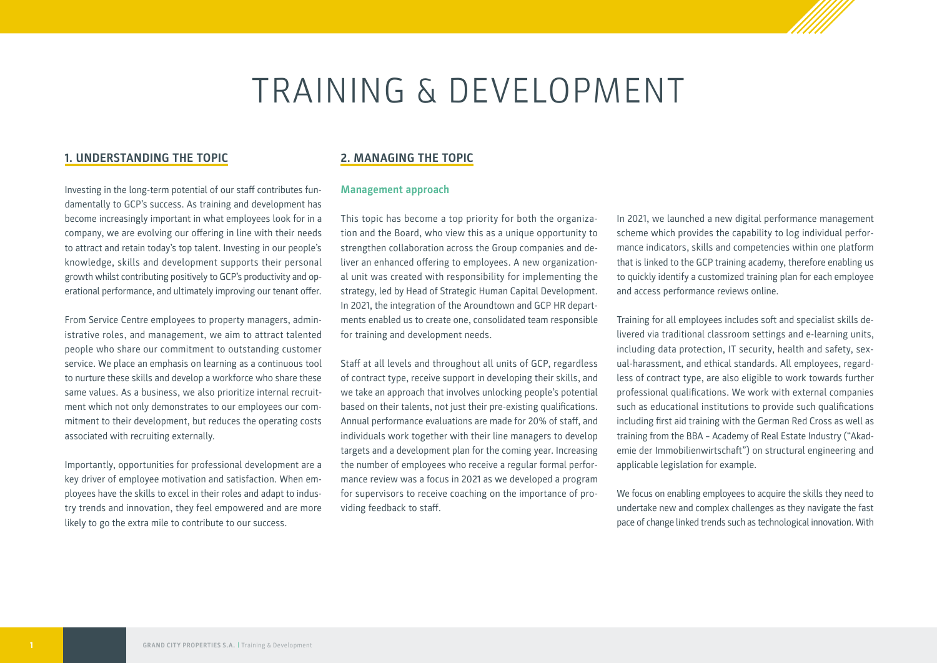# TRAINING & DEVELOPMENT

## **1. UNDERSTANDING THE TOPIC**

Investing in the long-term potential of our staff contributes fundamentally to GCP's success. As training and development has become increasingly important in what employees look for in a company, we are evolving our offering in line with their needs to attract and retain today's top talent. Investing in our people's knowledge, skills and development supports their personal growth whilst contributing positively to GCP's productivity and operational performance, and ultimately improving our tenant offer.

From Service Centre employees to property managers, administrative roles, and management, we aim to attract talented people who share our commitment to outstanding customer service. We place an emphasis on learning as a continuous tool to nurture these skills and develop a workforce who share these same values. As a business, we also prioritize internal recruitment which not only demonstrates to our employees our commitment to their development, but reduces the operating costs associated with recruiting externally.

Importantly, opportunities for professional development are a key driver of employee motivation and satisfaction. When employees have the skills to excel in their roles and adapt to industry trends and innovation, they feel empowered and are more likely to go the extra mile to contribute to our success.

## **2. MANAGING THE TOPIC**

## **Management approach**

This topic has become a top priority for both the organization and the Board, who view this as a unique opportunity to strengthen collaboration across the Group companies and deliver an enhanced offering to employees. A new organizational unit was created with responsibility for implementing the strategy, led by Head of Strategic Human Capital Development. In 2021, the integration of the Aroundtown and GCP HR departments enabled us to create one, consolidated team responsible for training and development needs.

Staff at all levels and throughout all units of GCP, regardless of contract type, receive support in developing their skills, and we take an approach that involves unlocking people's potential based on their talents, not just their pre-existing qualifications. Annual performance evaluations are made for 20% of staff, and individuals work together with their line managers to develop targets and a development plan for the coming year. Increasing the number of employees who receive a regular formal performance review was a focus in 2021 as we developed a program for supervisors to receive coaching on the importance of providing feedback to staff.

In 2021, we launched a new digital performance management scheme which provides the capability to log individual performance indicators, skills and competencies within one platform that is linked to the GCP training academy, therefore enabling us to quickly identify a customized training plan for each employee and access performance reviews online.

Training for all employees includes soft and specialist skills delivered via traditional classroom settings and e-learning units, including data protection, IT security, health and safety, sexual-harassment, and ethical standards. All employees, regardless of contract type, are also eligible to work towards further professional qualifications. We work with external companies such as educational institutions to provide such qualifications including first aid training with the German Red Cross as well as training from the BBA – Academy of Real Estate Industry ("Akademie der Immobilienwirtschaft") on structural engineering and applicable legislation for example.

We focus on enabling employees to acquire the skills they need to undertake new and complex challenges as they navigate the fast pace of change linked trends such as technological innovation. With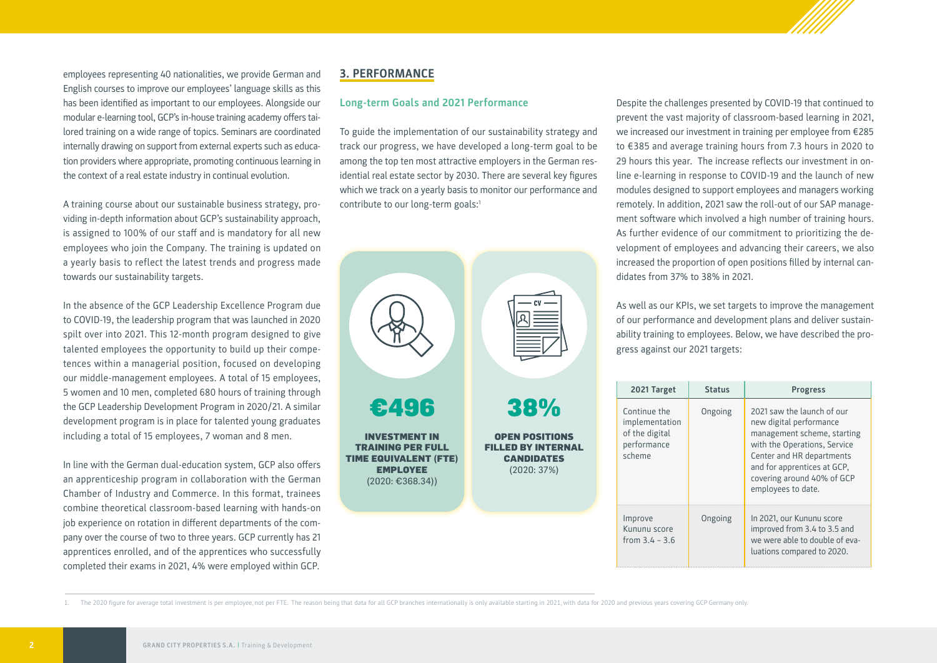employees representing 40 nationalities, we provide German and English courses to improve our employees' language skills as this has been identified as important to our employees. Alongside our modular e-learning tool, GCP's in-house training academy offers tailored training on a wide range of topics. Seminars are coordinated internally drawing on support from external experts such as education providers where appropriate, promoting continuous learning in the context of a real estate industry in continual evolution.

A training course about our sustainable business strategy, providing in-depth information about GCP's sustainability approach, is assigned to 100% of our staff and is mandatory for all new employees who join the Company. The training is updated on a yearly basis to reflect the latest trends and progress made towards our sustainability targets.

In the absence of the GCP Leadership Excellence Program due to COVID-19, the leadership program that was launched in 2020 spilt over into 2021. This 12-month program designed to give talented employees the opportunity to build up their competences within a managerial position, focused on developing our middle-management employees. A total of 15 employees, 5 women and 10 men, completed 680 hours of training through the GCP Leadership Development Program in 2020/21. A similar development program is in place for talented young graduates including a total of 15 employees, 7 woman and 8 men.

In line with the German dual-education system, GCP also offers an apprenticeship program in collaboration with the German Chamber of Industry and Commerce. In this format, trainees combine theoretical classroom-based learning with hands-on job experience on rotation in different departments of the company over the course of two to three years. GCP currently has 21 apprentices enrolled, and of the apprentices who successfully completed their exams in 2021, 4% were employed within GCP.

## **3. PERFORMANCE**

## **Long-term Goals and 2021 Performance**

To guide the implementation of our sustainability strategy and track our progress, we have developed a long-term goal to be among the top ten most attractive employers in the German residential real estate sector by 2030. There are several key figures which we track on a yearly basis to monitor our performance and contribute to our long-term goals:<sup>1</sup>



Despite the challenges presented by COVID-19 that continued to prevent the vast majority of classroom-based learning in 2021, we increased our investment in training per employee from €285 to €385 and average training hours from 7.3 hours in 2020 to 29 hours this year. The increase reflects our investment in online e-learning in response to COVID-19 and the launch of new modules designed to support employees and managers working remotely. In addition, 2021 saw the roll-out of our SAP management software which involved a high number of training hours. As further evidence of our commitment to prioritizing the development of employees and advancing their careers, we also increased the proportion of open positions filled by internal candidates from 37% to 38% in 2021.

As well as our KPIs, we set targets to improve the management of our performance and development plans and deliver sustainability training to employees. Below, we have described the progress against our 2021 targets:

| 2021 Target                                                               | <b>Status</b> | <b>Progress</b>                                                                                                                                                                                                                      |  |  |
|---------------------------------------------------------------------------|---------------|--------------------------------------------------------------------------------------------------------------------------------------------------------------------------------------------------------------------------------------|--|--|
| Continue the<br>implementation<br>of the digital<br>performance<br>scheme | Ongoing       | 2021 saw the launch of our<br>new digital performance<br>management scheme, starting<br>with the Operations, Service<br>Center and HR departments<br>and for apprentices at GCP,<br>covering around 40% of GCP<br>employees to date. |  |  |
| Improve<br>Kununu score<br>from $3.4 - 3.6$                               | Ongoing       | In 2021, our Kununu score<br>improved from 3.4 to 3.5 and<br>we were able to double of eva-<br>luations compared to 2020.                                                                                                            |  |  |

1. The 2020 figure for average total investment is per employee, not per FTE. The reason being that data for all GCP branches internationally is only available starting in 2021, with data for 2020 and previous years coveri